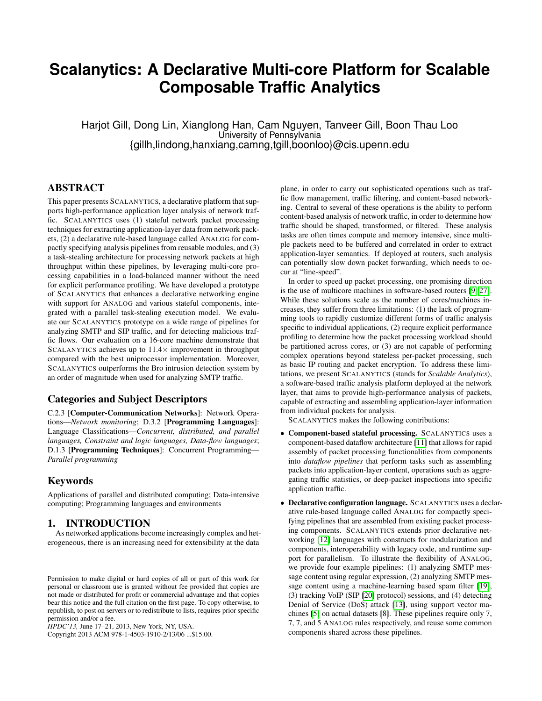# <span id="page-0-0"></span>**Scalanytics: A Declarative Multi-core Platform for Scalable Composable Traffic Analytics**

Harjot Gill, Dong Lin, Xianglong Han, Cam Nguyen, Tanveer Gill, Boon Thau Loo University of Pennsylvania {gillh,lindong,hanxiang,camng,tgill,boonloo}@cis.upenn.edu

## ABSTRACT

This paper presents SCALANYTICS, a declarative platform that supports high-performance application layer analysis of network traffic. SCALANYTICS uses (1) stateful network packet processing techniques for extracting application-layer data from network packets, (2) a declarative rule-based language called ANALOG for compactly specifying analysis pipelines from reusable modules, and (3) a task-stealing architecture for processing network packets at high throughput within these pipelines, by leveraging multi-core processing capabilities in a load-balanced manner without the need for explicit performance profiling. We have developed a prototype of SCALANYTICS that enhances a declarative networking engine with support for ANALOG and various stateful components, integrated with a parallel task-stealing execution model. We evaluate our SCALANYTICS prototype on a wide range of pipelines for analyzing SMTP and SIP traffic, and for detecting malicious traffic flows. Our evaluation on a 16-core machine demonstrate that SCALANYTICS achieves up to  $11.4\times$  improvement in throughput compared with the best uniprocessor implementation. Moreover, SCALANYTICS outperforms the Bro intrusion detection system by an order of magnitude when used for analyzing SMTP traffic.

## Categories and Subject Descriptors

C.2.3 [Computer-Communication Networks]: Network Operations—*Network monitoring*; D.3.2 [Programming Languages]: Language Classifications—*Concurrent, distributed, and parallel languages, Constraint and logic languages, Data-flow languages*; D.1.3 **[Programming Techniques**]: Concurrent Programming— *Parallel programming*

## Keywords

Applications of parallel and distributed computing; Data-intensive computing; Programming languages and environments

## 1. INTRODUCTION

As networked applications become increasingly complex and heterogeneous, there is an increasing need for extensibility at the data

Copyright 2013 ACM 978-1-4503-1910-2/13/06 ...\$15.00.

plane, in order to carry out sophisticated operations such as traffic flow management, traffic filtering, and content-based networking. Central to several of these operations is the ability to perform content-based analysis of network traffic, in order to determine how traffic should be shaped, transformed, or filtered. These analysis tasks are often times compute and memory intensive, since multiple packets need to be buffered and correlated in order to extract application-layer semantics. If deployed at routers, such analysis can potentially slow down packet forwarding, which needs to occur at "line-speed".

In order to speed up packet processing, one promising direction is the use of multicore machines in software-based routers [\[9,](#page-10-0) [27\]](#page-11-0). While these solutions scale as the number of cores/machines increases, they suffer from three limitations: (1) the lack of programming tools to rapidly customize different forms of traffic analysis specific to individual applications, (2) require explicit performance profiling to determine how the packet processing workload should be partitioned across cores, or (3) are not capable of performing complex operations beyond stateless per-packet processing, such as basic IP routing and packet encryption. To address these limitations, we present SCALANYTICS (stands for *Scalable Analytics*), a software-based traffic analysis platform deployed at the network layer, that aims to provide high-performance analysis of packets, capable of extracting and assembling application-layer information from individual packets for analysis.

SCALANYTICS makes the following contributions:

- Component-based stateful processing. SCALANYTICS uses a component-based dataflow architecture [\[11\]](#page-10-1) that allows for rapid assembly of packet processing functionalities from components into *dataflow pipelines* that perform tasks such as assembling packets into application-layer content, operations such as aggregating traffic statistics, or deep-packet inspections into specific application traffic.
- Declarative configuration language. SCALANYTICS uses a declarative rule-based language called ANALOG for compactly specifying pipelines that are assembled from existing packet processing components. SCALANYTICS extends prior declarative networking [\[12\]](#page-10-2) languages with constructs for modularization and components, interoperability with legacy code, and runtime support for parallelism. To illustrate the flexibility of ANALOG, we provide four example pipelines: (1) analyzing SMTP message content using regular expression, (2) analyzing SMTP message content using a machine-learning based spam filter [\[19\]](#page-10-3), (3) tracking VoIP (SIP [\[20\]](#page-10-4) protocol) sessions, and (4) detecting Denial of Service (DoS) attack [\[13\]](#page-10-5), using support vector machines [\[5\]](#page-10-6) on actual datasets [\[8\]](#page-10-7). These pipelines require only 7, 7, 7, and 5 ANALOG rules respectively, and reuse some common components shared across these pipelines.

Permission to make digital or hard copies of all or part of this work for personal or classroom use is granted without fee provided that copies are not made or distributed for profit or commercial advantage and that copies bear this notice and the full citation on the first page. To copy otherwise, to republish, to post on servers or to redistribute to lists, requires prior specific permission and/or a fee.

*HPDC'13,* June 17–21, 2013, New York, NY, USA.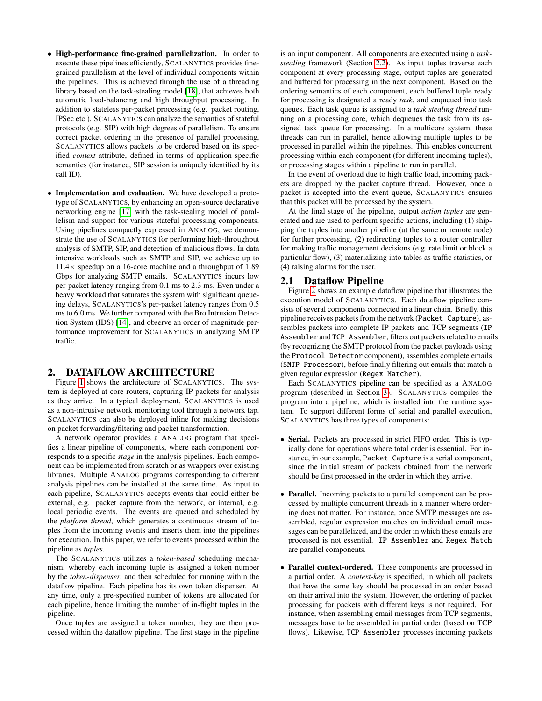- High-performance fine-grained parallelization. In order to execute these pipelines efficiently, SCALANYTICS provides finegrained parallelism at the level of individual components within the pipelines. This is achieved through the use of a threading library based on the task-stealing model [\[18\]](#page-10-8), that achieves both automatic load-balancing and high throughput processing. In addition to stateless per-packet processing (e.g. packet routing, IPSec etc.), SCALANYTICS can analyze the semantics of stateful protocols (e.g. SIP) with high degrees of parallelism. To ensure correct packet ordering in the presence of parallel processing, SCALANYTICS allows packets to be ordered based on its specified *context* attribute, defined in terms of application specific semantics (for instance, SIP session is uniquely identified by its call ID).
- Implementation and evaluation. We have developed a prototype of SCALANYTICS, by enhancing an open-source declarative networking engine [\[17\]](#page-10-9) with the task-stealing model of parallelism and support for various stateful processing components. Using pipelines compactly expressed in ANALOG, we demonstrate the use of SCALANYTICS for performing high-throughput analysis of SMTP, SIP, and detection of malicious flows. In data intensive workloads such as SMTP and SIP, we achieve up to  $11.4\times$  speedup on a 16-core machine and a throughput of 1.89 Gbps for analyzing SMTP emails. SCALANYTICS incurs low per-packet latency ranging from 0.1 ms to 2.3 ms. Even under a heavy workload that saturates the system with significant queueing delays, SCALANYTICS's per-packet latency ranges from 0.5 ms to 6.0 ms. We further compared with the Bro Intrusion Detection System (IDS) [\[14\]](#page-10-10), and observe an order of magnitude performance improvement for SCALANYTICS in analyzing SMTP traffic.

## <span id="page-1-1"></span>2. DATAFLOW ARCHITECTURE

Figure [1](#page-2-0) shows the architecture of SCALANYTICS. The system is deployed at core routers, capturing IP packets for analysis as they arrive. In a typical deployment, SCALANYTICS is used as a non-intrusive network monitoring tool through a network tap. SCALANYTICS can also be deployed inline for making decisions on packet forwarding/filtering and packet transformation.

A network operator provides a ANALOG program that specifies a linear pipeline of components, where each component corresponds to a specific *stage* in the analysis pipelines. Each component can be implemented from scratch or as wrappers over existing libraries. Multiple ANALOG programs corresponding to different analysis pipelines can be installed at the same time. As input to each pipeline, SCALANYTICS accepts events that could either be external, e.g. packet capture from the network, or internal, e.g. local periodic events. The events are queued and scheduled by the *platform thread*, which generates a continuous stream of tuples from the incoming events and inserts them into the pipelines for execution. In this paper, we refer to events processed within the pipeline as *tuples*.

The SCALANYTICS utilizes a *token-based* scheduling mechanism, whereby each incoming tuple is assigned a token number by the *token-dispenser*, and then scheduled for running within the dataflow pipeline. Each pipeline has its own token dispenser. At any time, only a pre-specified number of tokens are allocated for each pipeline, hence limiting the number of in-flight tuples in the pipeline.

Once tuples are assigned a token number, they are then processed within the dataflow pipeline. The first stage in the pipeline is an input component. All components are executed using a *taskstealing* framework (Section [2.2\)](#page-3-0). As input tuples traverse each component at every processing stage, output tuples are generated and buffered for processing in the next component. Based on the ordering semantics of each component, each buffered tuple ready for processing is designated a ready *task*, and enqueued into task queues. Each task queue is assigned to a *task stealing thread* running on a processing core, which dequeues the task from its assigned task queue for processing. In a multicore system, these threads can run in parallel, hence allowing multiple tuples to be processed in parallel within the pipelines. This enables concurrent processing within each component (for different incoming tuples), or processing stages within a pipeline to run in parallel.

In the event of overload due to high traffic load, incoming packets are dropped by the packet capture thread. However, once a packet is accepted into the event queue, SCALANYTICS ensures that this packet will be processed by the system.

At the final stage of the pipeline, output *action tuples* are generated and are used to perform specific actions, including (1) shipping the tuples into another pipeline (at the same or remote node) for further processing, (2) redirecting tuples to a router controller for making traffic management decisions (e.g. rate limit or block a particular flow), (3) materializing into tables as traffic statistics, or (4) raising alarms for the user.

## <span id="page-1-0"></span>2.1 Dataflow Pipeline

Figure [2](#page-2-1) shows an example dataflow pipeline that illustrates the execution model of SCALANYTICS. Each dataflow pipeline consists of several components connected in a linear chain. Briefly, this pipeline receives packets from the network (Packet Capture), assembles packets into complete IP packets and TCP segments (IP Assembler and TCP Assembler, filters out packets related to emails (by recognizing the SMTP protocol from the packet payloads using the Protocol Detector component), assembles complete emails (SMTP Processor), before finally filtering out emails that match a given regular expression (Regex Matcher).

Each SCALANYTICS pipeline can be specified as a ANALOG program (described in Section [3\)](#page-4-0). SCALANYTICS compiles the program into a pipeline, which is installed into the runtime system. To support different forms of serial and parallel execution, SCALANYTICS has three types of components:

- Serial. Packets are processed in strict FIFO order. This is typically done for operations where total order is essential. For instance, in our example, Packet Capture is a serial component, since the initial stream of packets obtained from the network should be first processed in the order in which they arrive.
- Parallel. Incoming packets to a parallel component can be processed by multiple concurrent threads in a manner where ordering does not matter. For instance, once SMTP messages are assembled, regular expression matches on individual email messages can be parallelized, and the order in which these emails are processed is not essential. IP Assembler and Regex Match are parallel components.
- Parallel context-ordered. These components are processed in a partial order. A *context-key* is specified, in which all packets that have the same key should be processed in an order based on their arrival into the system. However, the ordering of packet processing for packets with different keys is not required. For instance, when assembling email messages from TCP segments, messages have to be assembled in partial order (based on TCP flows). Likewise, TCP Assembler processes incoming packets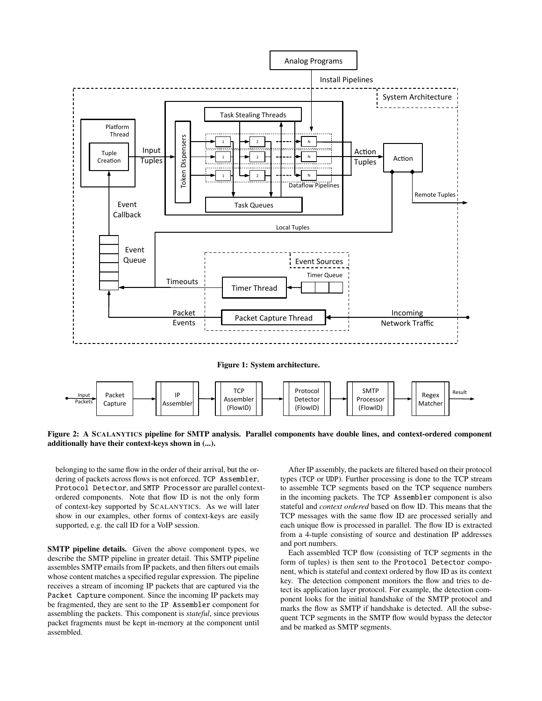

<span id="page-2-1"></span>additionally have their context-keys shown in (...). Assembler' Figure 2: A SCALANYTICS pipeline for SMTP analysis. Parallel components have double lines, and context-ordered component<br>edditionally have their context lieve charm in ( )

Preserved components. Julius. IP's ordered components. Note that flow ID is not the only form Protocol Detector, and SMTP Processor are parallel contextof context-key supported by SCALANYTICS. As we will later belonging to the same flow in the order of their arrival, but the ordering of packets across flows is not enforced. TCP Assembler, show in our examples, other forms of context-keys are easily supported, e.g. the call ID for a VoIP session.

SMTP pipeline details. Given the above component types, we describe the SMTP pipeline in greater detail. This SMTP pipeline assembles SMTP emails from IP packets, and then filters out emails whose content matches a specified regular expression. The pipeline receives a stream of incoming IP packets that are captured via the Packet Capture component. Since the incoming IP packets may be fragmented, they are sent to the IP Assembler component for assembling the packets. This component is *stateful*, since previous packet fragments must be kept in-memory at the component until assembled.

<span id="page-2-0"></span>to assemble TCP segments based on the TCP sequence numbers ne incoming packets. The TCP Assembler compo stateful and *context ordered* based on flow ID. This means that the in the incoming packets. The TCP Assembler component is also After IP assembly, the packets are filtered based on their protocol types (TCP or UDP). Further processing is done to the TCP stream TCP messages with the same flow ID are processed serially and each unique flow is processed in parallel. The flow ID is extracted from a 4-tuple consisting of source and destination IP addresses and port numbers.

Each assembled TCP flow (consisting of TCP segments in the form of tuples) is then sent to the Protocol Detector component, which is stateful and context ordered by flow ID as its context key. The detection component monitors the flow and tries to detect its application layer protocol. For example, the detection component looks for the initial handshake of the SMTP protocol and marks the flow as SMTP if handshake is detected. All the subsequent TCP segments in the SMTP flow would bypass the detector and be marked as SMTP segments.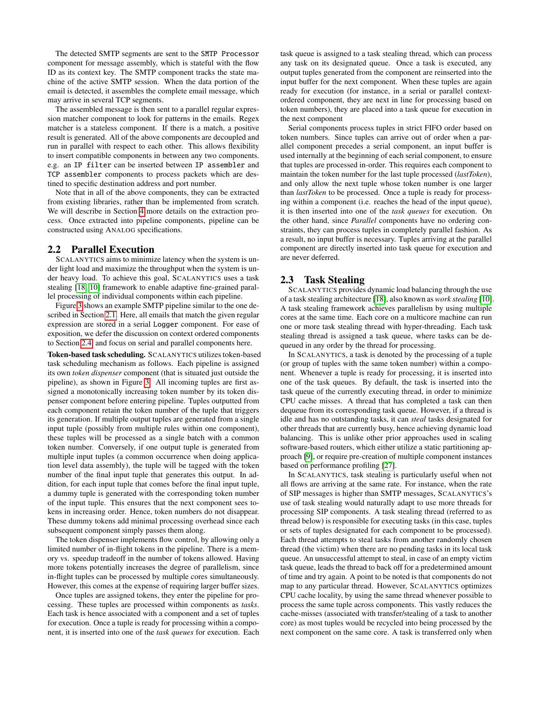The detected SMTP segments are sent to the SMTP Processor component for message assembly, which is stateful with the flow ID as its context key. The SMTP component tracks the state machine of the active SMTP session. When the data portion of the email is detected, it assembles the complete email message, which may arrive in several TCP segments.

The assembled message is then sent to a parallel regular expression matcher component to look for patterns in the emails. Regex matcher is a stateless component. If there is a match, a positive result is generated. All of the above components are decoupled and run in parallel with respect to each other. This allows flexibility to insert compatible components in between any two components. e.g. an IP filter can be inserted between IP assembler and TCP assembler components to process packets which are destined to specific destination address and port number.

Note that in all of the above components, they can be extracted from existing libraries, rather than be implemented from scratch. We will describe in Section [4](#page-6-0) more details on the extraction process. Once extracted into pipeline components, pipeline can be constructed using ANALOG specifications.

## <span id="page-3-0"></span>2.2 Parallel Execution

SCALANYTICS aims to minimize latency when the system is under light load and maximize the throughput when the system is under heavy load. To achieve this goal, SCALANYTICS uses a task stealing [\[18,](#page-10-8) [10\]](#page-10-11) framework to enable adaptive fine-grained parallel processing of individual components within each pipeline.

Figure [3](#page-4-1) shows an example SMTP pipeline similar to the one described in Section [2.1.](#page-1-0) Here, all emails that match the given regular expression are stored in a serial Logger component. For ease of exposition, we defer the discussion on context ordered components to Section [2.4,](#page-4-2) and focus on serial and parallel components here.

Token-based task scheduling. SCALANYTICS utilizes token-based task scheduling mechanism as follows. Each pipeline is assigned its own *token dispenser* component (that is situated just outside the pipeline), as shown in Figure [3.](#page-4-1) All incoming tuples are first assigned a monotonically increasing token number by its token dispenser component before entering pipeline. Tuples outputted from each component retain the token number of the tuple that triggers its generation. If multiple output tuples are generated from a single input tuple (possibly from multiple rules within one component), these tuples will be processed as a single batch with a common token number. Conversely, if one output tuple is generated from multiple input tuples (a common occurrence when doing application level data assembly), the tuple will be tagged with the token number of the final input tuple that generates this output. In addition, for each input tuple that comes before the final input tuple, a dummy tuple is generated with the corresponding token number of the input tuple. This ensures that the next component sees tokens in increasing order. Hence, token numbers do not disappear. These dummy tokens add minimal processing overhead since each subsequent component simply passes them along.

The token dispenser implements flow control, by allowing only a limited number of in-flight tokens in the pipeline. There is a memory vs. speedup tradeoff in the number of tokens allowed. Having more tokens potentially increases the degree of parallelism, since in-flight tuples can be processed by multiple cores simultaneously. However, this comes at the expense of requiring larger buffer sizes.

Once tuples are assigned tokens, they enter the pipeline for processing. These tuples are processed within components as *tasks*. Each task is hence associated with a component and a set of tuples for execution. Once a tuple is ready for processing within a component, it is inserted into one of the *task queues* for execution. Each task queue is assigned to a task stealing thread, which can process any task on its designated queue. Once a task is executed, any output tuples generated from the component are reinserted into the input buffer for the next component. When these tuples are again ready for execution (for instance, in a serial or parallel contextordered component, they are next in line for processing based on token numbers), they are placed into a task queue for execution in the next component

Serial components process tuples in strict FIFO order based on token numbers. Since tuples can arrive out of order when a parallel component precedes a serial component, an input buffer is used internally at the beginning of each serial component, to ensure that tuples are processed in-order. This requires each component to maintain the token number for the last tuple processed (*lastToken*), and only allow the next tuple whose token number is one larger than *lastToken* to be processed. Once a tuple is ready for processing within a component (i.e. reaches the head of the input queue), it is then inserted into one of the *task queues* for execution. On the other hand, since *Parallel* components have no ordering constraints, they can process tuples in completely parallel fashion. As a result, no input buffer is necessary. Tuples arriving at the parallel component are directly inserted into task queue for execution and are never deferred.

## 2.3 Task Stealing

SCALANYTICS provides dynamic load balancing through the use of a task stealing architecture [\[18\]](#page-10-8), also known as *work stealing* [\[10\]](#page-10-11). A task stealing framework achieves parallelism by using multiple cores at the same time. Each core on a multicore machine can run one or more task stealing thread with hyper-threading. Each task stealing thread is assigned a task queue, where tasks can be dequeued in any order by the thread for processing.

In SCALANYTICS, a task is denoted by the processing of a tuple (or group of tuples with the same token number) within a component. Whenever a tuple is ready for processing, it is inserted into one of the task queues. By default, the task is inserted into the task queue of the currently executing thread, in order to minimize CPU cache misses. A thread that has completed a task can then dequeue from its corresponding task queue. However, if a thread is idle and has no outstanding tasks, it can *steal* tasks designated for other threads that are currently busy, hence achieving dynamic load balancing. This is unlike other prior approaches used in scaling software-based routers, which either utilize a static partitioning approach [\[9\]](#page-10-0), or require pre-creation of multiple component instances based on performance profiling [\[27\]](#page-11-0).

In SCALANYTICS, task stealing is particularly useful when not all flows are arriving at the same rate. For instance, when the rate of SIP messages is higher than SMTP messages, SCALANYTICS's use of task stealing would naturally adapt to use more threads for processing SIP components. A task stealing thread (referred to as thread below) is responsible for executing tasks (in this case, tuples or sets of tuples designated for each component to be processed). Each thread attempts to steal tasks from another randomly chosen thread (the victim) when there are no pending tasks in its local task queue. An unsuccessful attempt to steal, in case of an empty victim task queue, leads the thread to back off for a predetermined amount of time and try again. A point to be noted is that components do not map to any particular thread. However, SCALANYTICS optimizes CPU cache locality, by using the same thread whenever possible to process the same tuple across components. This vastly reduces the cache-misses (associated with transfer/stealing of a task to another core) as most tuples would be recycled into being processed by the next component on the same core. A task is transferred only when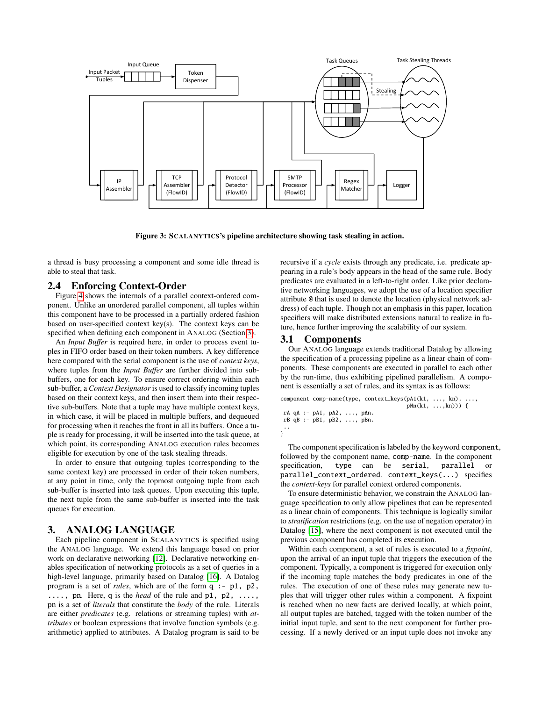

<span id="page-4-1"></span>Figure 3: SCALANYTICS's pipeline architecture showing task stealing in action.

a thread is busy processing a component and some idle thread is able to steal that task.

## <span id="page-4-2"></span>2.4 Enforcing Context-Order

Figure [4](#page-5-0) shows the internals of a parallel context-ordered component. Unlike an unordered parallel component, all tuples within this component have to be processed in a partially ordered fashion based on user-specified context key(s). The context keys can be specified when defining each component in ANALOG (Section [3\)](#page-4-0).

An *Input Buffer* is required here, in order to process event tuples in FIFO order based on their token numbers. A key difference here compared with the serial component is the use of *context keys*, where tuples from the *Input Buffer* are further divided into subbuffers, one for each key. To ensure correct ordering within each sub-buffer, a *Context Designator* is used to classify incoming tuples based on their context keys, and then insert them into their respective sub-buffers. Note that a tuple may have multiple context keys, in which case, it will be placed in multiple buffers, and dequeued for processing when it reaches the front in all its buffers. Once a tuple is ready for processing, it will be inserted into the task queue, at which point, its corresponding ANALOG execution rules becomes eligible for execution by one of the task stealing threads.

In order to ensure that outgoing tuples (corresponding to the same context key) are processed in order of their token numbers, at any point in time, only the topmost outgoing tuple from each sub-buffer is inserted into task queues. Upon executing this tuple, the next tuple from the same sub-buffer is inserted into the task queues for execution.

## <span id="page-4-0"></span>3. ANALOG LANGUAGE

Each pipeline component in SCALANYTICS is specified using the ANALOG language. We extend this language based on prior work on declarative networking [\[12\]](#page-10-2). Declarative networking enables specification of networking protocols as a set of queries in a high-level language, primarily based on Datalog [\[16\]](#page-10-12). A Datalog program is a set of *rules*, which are of the form q :- p1, p2, ...., pn. Here, q is the *head* of the rule and p1, p2, ...., pn is a set of *literals* that constitute the *body* of the rule. Literals are either *predicates* (e.g. relations or streaming tuples) with *attributes* or boolean expressions that involve function symbols (e.g. arithmetic) applied to attributes. A Datalog program is said to be recursive if a *cycle* exists through any predicate, i.e. predicate appearing in a rule's body appears in the head of the same rule. Body predicates are evaluated in a left-to-right order. Like prior declarative networking languages, we adopt the use of a location specifier attribute @ that is used to denote the location (physical network address) of each tuple. Though not an emphasis in this paper, location specifiers will make distributed extensions natural to realize in future, hence further improving the scalability of our system.

### 3.1 Components

Our ANALOG language extends traditional Datalog by allowing the specification of a processing pipeline as a linear chain of components. These components are executed in parallel to each other by the run-time, thus exhibiting pipelined parallelism. A component is essentially a set of rules, and its syntax is as follows:

component comp-name(type, context\_keys(pA1(k1, ..., kn), ..., pNn(k1, ...,kn))) { rA qA :- pA1, pA2, ..., pAn. rB qB :- pB1, pB2, ..., pBn. .. }

The component specification is labeled by the keyword component, followed by the component name, comp-name. In the component specification, type can be serial, parallel or specification, type can be serial, parallel or parallel\_context\_ordered. context\_keys(...) specifies the *context-keys* for parallel context ordered components.

To ensure deterministic behavior, we constrain the ANALOG language specification to only allow pipelines that can be represented as a linear chain of components. This technique is logically similar to *stratification* restrictions (e.g. on the use of negation operator) in Datalog [\[15\]](#page-10-13), where the next component is not executed until the previous component has completed its execution.

Within each component, a set of rules is executed to a *fixpoint*, upon the arrival of an input tuple that triggers the execution of the component. Typically, a component is triggered for execution only if the incoming tuple matches the body predicates in one of the rules. The execution of one of these rules may generate new tuples that will trigger other rules within a component. A fixpoint is reached when no new facts are derived locally, at which point, all output tuples are batched, tagged with the token number of the initial input tuple, and sent to the next component for further processing. If a newly derived or an input tuple does not invoke any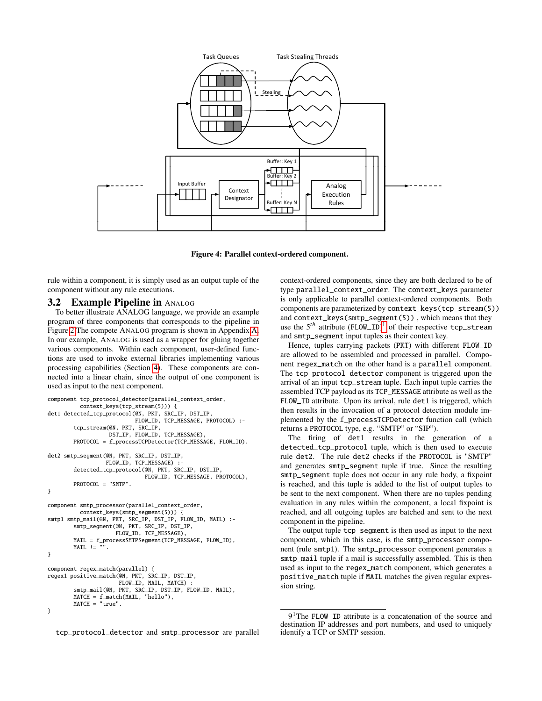

<span id="page-5-0"></span>

rule within a component, it is simply used as an output tuple of the component without any rule executions.

#### **3.2 Example Pipeline in ANALOG**

To better illustrate ANALOG language, we provide an example program of three components that corresponds to the pipeline in Figure [2.](#page-2-1)The compete ANALOG program is shown in Appendix [A.](#page-11-1) In our example, ANALOG is used as a wrapper for gluing together various components. Within each component, user-defined functions are used to invoke external libraries implementing various processing capabilities (Section [4\)](#page-6-0). These components are connected into a linear chain, since the output of one component is used as input to the next component.

```
component tcp_protocol_detector(parallel_context_order,
          context_keys(tcp_stream(5))) {
det1 detected_tcp_protocol(@N, PKT, SRC_IP, DST_IP,
                           FLOW_ID, TCP_MESSAGE, PROTOCOL) :-
        tcp_stream(@N, PKT, SRC_IP,
                    DST_IP, FLOW_ID, TCP_MESSAGE),
        PROTOCOL = f_processTCPDetector(TCP_MESSAGE, FLOW_ID).
det2 smtp_segment(@N, PKT, SRC_IP, DST_IP,
                   FLOW_ID, TCP_MESSAGE) :
        detected_tcp_protocol(@N, PKT, SRC_IP, DST_IP,
                               FLOW_ID, TCP_MESSAGE, PROTOCOL),
        PROTOCOL = "SMTP".
}
component smtp_processor(parallel_context_order,
          context_keys(smtp_segment(5))) {
smtp1 smtp_mail(@N, PKT, SRC_IP, DST_IP, FLOW_ID, MAIL) :-
        smtp_segment(@N, PKT, SRC_IP, DST_IP,
                     FLOW_ID, TCP_MESSAGE),
        MAIL = f_processSMTPSegment(TCP_MESSAGE, FLOW_ID),
        MATL !=
}
component regex_match(parallel) {
regex1 positive_match(@N, PKT, SRC_IP, DST_IP,
                       FLOW_ID, MAIL, MATCH) :-
         smtp_mail(@N, PKT, SRC_IP, DST_IP, FLOW_ID, MAIL),
MATCH = f_match(MAIL, "hello"),
        MATCH = "true".
```
tcp\_protocol\_detector and smtp\_processor are parallel

context-ordered components, since they are both declared to be of type parallel\_context\_order. The context\_keys parameter is only applicable to parallel context-ordered components. Both components are parameterized by context\_keys(tcp\_stream(5)) and context\_keys(smtp\_segment(5)) , which means that they use the 5*th* attribute (FLOW\_ID) [1](#page-0-0) of their respective tcp\_stream and smtp\_segment input tuples as their context key.

Hence, tuples carrying packets (PKT) with different FLOW\_ID are allowed to be assembled and processed in parallel. Component regex\_match on the other hand is a parallel component. The tcp\_protocol\_detector component is triggered upon the arrival of an input tcp\_stream tuple. Each input tuple carries the assembled TCP payload as its TCP\_MESSAGE attribute as well as the FLOW\_ID attribute. Upon its arrival, rule det 1 is triggered, which then results in the invocation of a protocol detection module implemented by the f\_processTCPDetector function call (which returns a PROTOCOL type, e.g. "SMTP" or "SIP").

The firing of det1 results in the generation of a detected\_tcp\_protocol tuple, which is then used to execute rule det2. The rule det2 checks if the PROTOCOL is "SMTP" and generates smtp\_segment tuple if true. Since the resulting smtp\_segment tuple does not occur in any rule body, a fixpoint is reached, and this tuple is added to the list of output tuples to be sent to the next component. When there are no tuples pending evaluation in any rules within the component, a local fixpoint is reached, and all outgoing tuples are batched and sent to the next component in the pipeline.

The output tuple tcp\_segment is then used as input to the next component, which in this case, is the smtp\_processor component (rule smtp1). The smtp\_processor component generates a smtp\_mail tuple if a mail is successfully assembled. This is then used as input to the regex\_match component, which generates a positive\_match tuple if MAIL matches the given regular expression string.

<sup>}</sup>

<sup>9&</sup>lt;sup>1</sup>The FLOW\_ID attribute is a concatenation of the source and destination IP addresses and port numbers, and used to uniquely identify a TCP or SMTP session.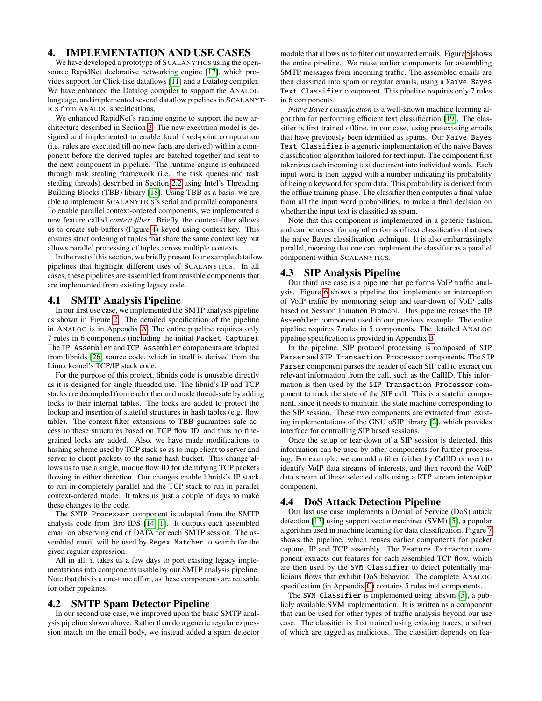## <span id="page-6-0"></span>4. IMPLEMENTATION AND USE CASES

We have developed a prototype of SCALANYTICS using the opensource RapidNet declarative networking engine [\[17\]](#page-10-9), which provides support for Click-like dataflows [\[11\]](#page-10-1) and a Datalog compiler. We have enhanced the Datalog compiler to support the ANALOG language, and implemented several dataflow pipelines in SCALANYT-ICS from ANALOG specifications.

We enhanced RapidNet's runtime engine to support the new architecture described in Section [2.](#page-1-1) The new execution model is designed and implemented to enable local fixed-point computation (i.e. rules are executed till no new facts are derived) within a component before the derived tuples are batched together and sent to the next component in pipeline. The runtime engine is enhanced through task stealing framework (i.e. the task queues and task stealing threads) described in Section [2.2](#page-3-0) using Intel's Threading Building Blocks (TBB) library [\[18\]](#page-10-8). Using TBB as a basis, we are able to implement SCALANYTICS's serial and parallel components. To enable parallel context-ordered components, we implemented a new feature called *context-filter*. Briefly, the context-filter allows us to create sub-buffers (Figure [4\)](#page-5-0) keyed using context key. This ensures strict ordering of tuples that share the same context key but allows parallel processing of tuples across multiple contexts.

In the rest of this section, we briefly present four example dataflow pipelines that highlight different uses of SCALANYTICS. In all cases, these pipelines are assembled from reusable components that are implemented from existing legacy code.

### <span id="page-6-1"></span>4.1 SMTP Analysis Pipeline

In our first use case, we implemented the SMTP analysis pipeline as shown in Figure [2.](#page-2-1) The detailed specification of the pipeline in ANALOG is in Appendix [A.](#page-11-1) The entire pipeline requires only 7 rules in 6 components (including the initial Packet Capture). The IP Assembler and TCP Assembler components are adapted from libnids [\[26\]](#page-10-14) source code, which in itself is derived from the Linux kernel's TCP/IP stack code.

For the purpose of this project, libnids code is unusable directly as it is designed for single threaded use. The libnid's IP and TCP stacks are decoupled from each other and made thread-safe by adding locks to their internal tables. The locks are added to protect the lookup and insertion of stateful structures in hash tables (e.g. flow table). The context-filter extensions to TBB guarantees safe access to these structures based on TCP flow ID, and thus no finegrained locks are added. Also, we have made modifications to hashing scheme used by TCP stack so as to map client to server and server to client packets to the same hash bucket. This change allows us to use a single, unique flow ID for identifying TCP packets flowing in either direction. Our changes enable libnids's IP stack to run in completely parallel and the TCP stack to run in parallel context-ordered mode. It takes us just a couple of days to make these changes to the code.

The SMTP Processor component is adapted from the SMTP analysis code from Bro IDS [\[14,](#page-10-10) [1\]](#page-10-15). It outputs each assembled email on observing end of DATA for each SMTP session. The assembled email will be used by Regex Matcher to search for the given regular expression.

All in all, it takes us a few days to port existing legacy implementations into components usable by our SMTP analysis pipeline. Note that this is a one-time effort, as these components are reusable for other pipelines.

## <span id="page-6-2"></span>4.2 SMTP Spam Detector Pipeline

In our second use case, we improved upon the basic SMTP analysis pipeline shown above. Rather than do a generic regular expression match on the email body, we instead added a spam detector module that allows us to filter out unwanted emails. Figure [5](#page-7-0) shows the entire pipeline. We reuse earlier components for assembling SMTP messages from incoming traffic. The assembled emails are then classified into spam or regular emails, using a Naïve Bayes Text Classifier component. This pipeline requires only 7 rules in 6 components.

*Naïve Bayes classification* is a well-known machine learning algorithm for performing efficient text classification [\[19\]](#page-10-3). The classifier is first trained offline, in our case, using pre-existing emails that have previously been identified as spams. Our Naïve Bayes Text Classifier is a generic implementation of the naïve Bayes classification algorithm tailored for text input. The component first tokenizes each incoming text document into individual words. Each input word is then tagged with a number indicating its probability of being a keyword for spam data. This probability is derived from the offline training phase. The classifier then computes a final value from all the input word probabilities, to make a final decision on whether the input text is classified as spam.

Note that this component is implemented in a generic fashion, and can be reused for any other forms of text classification that uses the naïve Bayes classification technique. It is also embarrassingly parallel, meaning that one can implement the classifier as a parallel component within SCALANYTICS.

## <span id="page-6-3"></span>4.3 SIP Analysis Pipeline

Our third use case is a pipeline that performs VoIP traffic analysis. Figure [6](#page-7-1) shows a pipeline that implements an interception of VoIP traffic by monitoring setup and tear-down of VoIP calls based on Session Initiation Protocol. This pipeline reuses the IP Assembler component used in our previous example. The entire pipeline requires 7 rules in 5 components. The detailed ANALOG pipeline specification is provided in Appendix [B.](#page-11-2)

In the pipeline, SIP protocol processing is composed of SIP Parser and SIP Transaction Processor components. The SIP Parser component parses the header of each SIP call to extract out relevant information from the call, such as the CallID. This information is then used by the SIP Transaction Processor component to track the state of the SIP call. This is a stateful component, since it needs to maintain the state machine corresponding to the SIP session. These two components are extracted from existing implementations of the GNU oSIP library [\[2\]](#page-10-16), which provides interface for controlling SIP based sessions.

Once the setup or tear-down of a SIP session is detected, this information can be used by other components for further processing. For example, we can add a filter (either by CallID or user) to identify VoIP data streams of interests, and then record the VoIP data stream of these selected calls using a RTP stream interceptor component.

## <span id="page-6-4"></span>4.4 DoS Attack Detection Pipeline

Our last use case implements a Denial of Service (DoS) attack detection [\[13\]](#page-10-5) using support vector machines (SVM) [\[5\]](#page-10-6), a popular algorithm used in machine learning for data classification. Figure [7](#page-8-0) shows the pipeline, which reuses earlier components for packet capture, IP and TCP assembly. The Feature Extractor component extracts out features for each assembled TCP flow, which are then used by the SVM Classifier to detect potentially malicious flows that exhibit DoS behavior. The complete ANALOG specification (in Appendix [C\)](#page-11-3) contains 5 rules in 4 components.

The SVM Classifier is implemented using libsvm [\[5\]](#page-10-6), a publicly available SVM implementation. It is written as a component that can be used for other types of traffic analysis beyond our use case. The classifier is first trained using existing traces, a subset of which are tagged as malicious. The classifier depends on fea-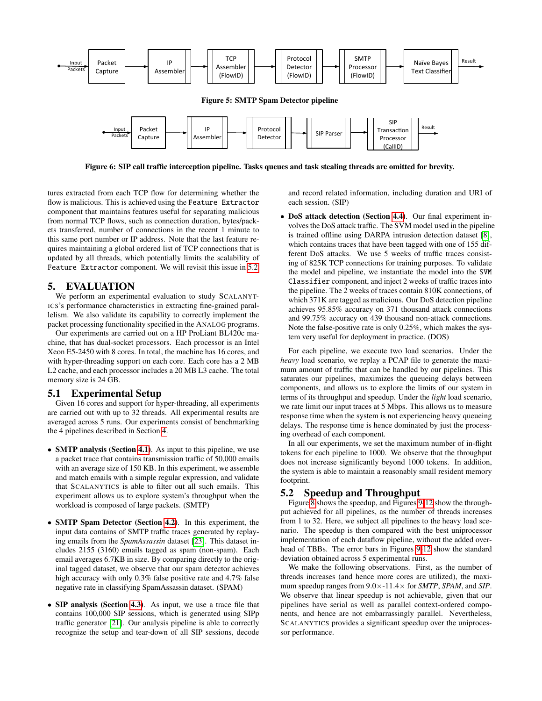

<span id="page-7-1"></span>TCP' Figure 6: SIP call traffic interception pipeline. Tasks queues and task stealing threads are omitted for brevity.

tures extracted from each TCP flow for determining whether the flow is malicious. This is achieved using the Feature Extractor component that maintains features useful for separating malicious from normal TCP flows, such as connection duration, bytes/packets transferred, number of connections in the recent 1 minute to this same port number or IP address. Note that the last feature requires maintaining a global ordered list of TCP connections that is updated by all threads, which potentially limits the scalability of Feature Extractor component. We will revisit this issue in [5.2](#page-7-2)

## 5. EVALUATION

We perform an experimental evaluation to study SCALANYT-ICS's performance characteristics in extracting fine-grained parallelism. We also validate its capability to correctly implement the packet processing functionality specified in the ANALOG programs.

Our experiments are carried out on a HP ProLiant BL420c machine, that has dual-socket processors. Each processor is an Intel Xeon E5-2450 with 8 cores. In total, the machine has 16 cores, and with hyper-threading support on each core. Each core has a 2 MB L2 cache, and each processor includes a 20 MB L3 cache. The total memory size is 24 GB.

## <span id="page-7-3"></span>5.1 Experimental Setup

Given 16 cores and support for hyper-threading, all experiments are carried out with up to 32 threads. All experimental results are averaged across 5 runs. Our experiments consist of benchmarking the 4 pipelines described in Section [4.](#page-6-0)

- **SMTP analysis (Section [4.1\)](#page-6-1)**. As input to this pipeline, we use a packet trace that contains transmission traffic of 50,000 emails with an average size of 150 KB. In this experiment, we assemble and match emails with a simple regular expression, and validate that SCALANYTICS is able to filter out all such emails. This experiment allows us to explore system's throughput when the workload is composed of large packets. (SMTP)
- SMTP Spam Detector (Section [4.2\)](#page-6-2). In this experiment, the input data contains of SMTP traffic traces generated by replaying emails from the *SpamAssassin* dataset [\[23\]](#page-10-17). This dataset includes 2155 (3160) emails tagged as spam (non-spam). Each email averages 6.7KB in size. By comparing directly to the original tagged dataset, we observe that our spam detector achieves high accuracy with only 0.3% false positive rate and 4.7% false negative rate in classifying SpamAssassin dataset. (SPAM)
- SIP analysis (Section [4.3\)](#page-6-3). As input, we use a trace file that contains 100,000 SIP sessions, which is generated using SIPp traffic generator [\[21\]](#page-10-18). Our analysis pipeline is able to correctly recognize the setup and tear-down of all SIP sessions, decode

<span id="page-7-0"></span>and record related information, including duration and URI of each session. (SIP)

• DoS attack detection (Section [4.4\)](#page-6-4). Our final experiment involves the DoS attack traffic. The SVM model used in the pipeline is trained offline using DARPA intrusion detection dataset [\[8\]](#page-10-7), which contains traces that have been tagged with one of 155 different DoS attacks. We use 5 weeks of traffic traces consisting of 825K TCP connections for training purposes. To validate the model and pipeline, we instantiate the model into the SVM Classifier component, and inject 2 weeks of traffic traces into the pipeline. The 2 weeks of traces contain 810K connections, of which 371K are tagged as malicious. Our DoS detection pipeline achieves 95.85% accuracy on 371 thousand attack connections and 99.75% accuracy on 439 thousand non-attack connections. Note the false-positive rate is only 0.25%, which makes the system very useful for deployment in practice. (DOS)

For each pipeline, we execute two load scenarios. Under the *heavy* load scenario, we replay a PCAP file to generate the maximum amount of traffic that can be handled by our pipelines. This saturates our pipelines, maximizes the queueing delays between components, and allows us to explore the limits of our system in terms of its throughput and speedup. Under the *light* load scenario, we rate limit our input traces at 5 Mbps. This allows us to measure response time when the system is not experiencing heavy queueing delays. The response time is hence dominated by just the processing overhead of each component.

In all our experiments, we set the maximum number of in-flight tokens for each pipeline to 1000. We observe that the throughput does not increase significantly beyond 1000 tokens. In addition, the system is able to maintain a reasonably small resident memory footprint.

## <span id="page-7-2"></span>5.2 Speedup and Throughput

Figure [8](#page-8-1) shows the speedup, and Figures [9](#page-8-2)[-12](#page-8-3) show the throughput achieved for all pipelines, as the number of threads increases from 1 to 32. Here, we subject all pipelines to the heavy load scenario. The speedup is then compared with the best uniprocessor implementation of each dataflow pipeline, without the added overhead of TBBs. The error bars in Figures [9-](#page-8-2)[12](#page-8-3) show the standard deviation obtained across 5 experimental runs.

We make the following observations. First, as the number of threads increases (and hence more cores are utilized), the maximum speedup ranges from 9.0×-11.4× for *SMTP*, *SPAM*, and *SIP*. We observe that linear speedup is not achievable, given that our pipelines have serial as well as parallel context-ordered components, and hence are not embarrassingly parallel. Nevertheless, SCALANYTICS provides a significant speedup over the uniprocessor performance.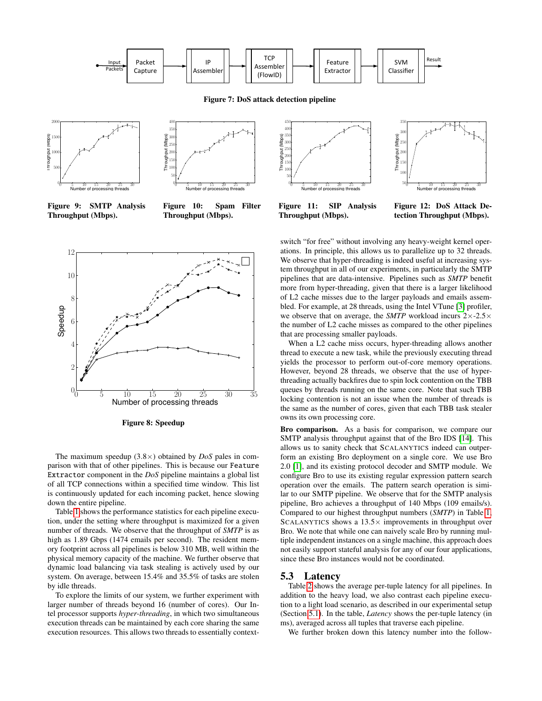

Figure 7: DoS attack detection pipeline

(FlowID)'





<span id="page-8-2"></span>Figure 9: SMTP Analysis Throughput (Mbps).

Figure 10: Spam Filter Throughput (Mbps).

<span id="page-8-0"></span>

Figure 11: SIP Analysis Throughput (Mbps).

<span id="page-8-3"></span>Figure 12: DoS Attack Detection Throughput (Mbps).

Naïve'Bayes'

switch "for free" without involving any heavy-weight kernel operations. In principle, this allows us to parallelize up to 32 threads. We observe that hyper-threading is indeed useful at increasing system throughput in all of our experiments, in particularly the SMTP pipelines that are data-intensive. Pipelines such as *SMTP* benefit more from hyper-threading, given that there is a larger likelihood of L2 cache misses due to the larger payloads and emails assembled. For example, at 28 threads, using the Intel VTune [\[3\]](#page-10-19) profiler, we observe that on average, the *SMTP* workload incurs 2×-2.5× the number of L2 cache misses as compared to the other pipelines that are processing smaller payloads. When a L2 cache miss occurs, hyper-threading allows another

thread to execute a new task, while the previously executing thread yields the processor to perform out-of-core memory operations. However, beyond 28 threads, we observe that the use of hyperthreading actually backfires due to spin lock contention on the TBB queues by threads running on the same core. Note that such TBB locking contention is not an issue when the number of threads is the same as the number of cores, given that each TBB task stealer owns its own processing core.

Bro comparison. As a basis for comparison, we compare our SMTP analysis throughput against that of the Bro IDS [\[14\]](#page-10-10). This allows us to sanity check that SCALANYTICS indeed can outperform an existing Bro deployment on a single core. We use Bro 2.0 [\[1\]](#page-10-15), and its existing protocol decoder and SMTP module. We configure Bro to use its existing regular expression pattern search operation over the emails. The pattern search operation is similar to our SMTP pipeline. We observe that for the SMTP analysis pipeline, Bro achieves a throughput of 140 Mbps (109 emails/s). Compared to our highest throughput numbers (*SMTP*) in Table [1,](#page-9-0) SCALANYTICS shows a  $13.5\times$  improvements in throughput over Bro. We note that while one can naively scale Bro by running multiple independent instances on a single machine, this approach does not easily support stateful analysis for any of our four applications, since these Bro instances would not be coordinated.

## 5.3 Latency

Table [2](#page-9-1) shows the average per-tuple latency for all pipelines. In addition to the heavy load, we also contrast each pipeline execution to a light load scenario, as described in our experimental setup (Section [5.1\)](#page-7-3). In the table, *Latency* shows the per-tuple latency (in ms), averaged across all tuples that traverse each pipeline.

We further broken down this latency number into the follow-



<span id="page-8-1"></span>Figure 8: Speedup

The maximum speedup (3.8×) obtained by *DoS* pales in comparison with that of other pipelines. This is because our Feature Extractor component in the *DoS* pipeline maintains a global list of all TCP connections within a specified time window. This list is continuously updated for each incoming packet, hence slowing down the entire pipeline.

Table [1](#page-9-0) shows the performance statistics for each pipeline execution, under the setting where throughput is maximized for a given number of threads. We observe that the throughput of *SMTP* is as high as 1.89 Gbps (1474 emails per second). The resident memory footprint across all pipelines is below 310 MB, well within the physical memory capacity of the machine. We further observe that dynamic load balancing via task stealing is actively used by our system. On average, between 15.4% and 35.5% of tasks are stolen by idle threads.

To explore the limits of our system, we further experiment with larger number of threads beyond 16 (number of cores). Our Intel processor supports *hyper-threading*, in which two simultaneous execution threads can be maintained by each core sharing the same execution resources. This allows two threads to essentially context-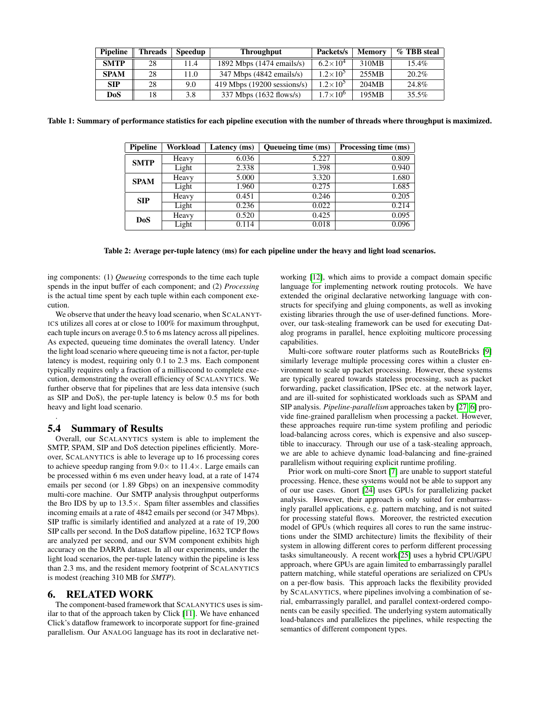| Pipeline    | <b>Threads</b> | <b>Speedup</b> | <b>Throughput</b>                    | Packets/s           | <b>Memory</b> | % TBB steal |
|-------------|----------------|----------------|--------------------------------------|---------------------|---------------|-------------|
| <b>SMTP</b> | 28             | 11.4           | 1892 Mbps (1474 emails/s)            | $6.2\times10^{4}$   | 310MB         | $15.4\%$    |
| <b>SPAM</b> | 28             | 11.0           | $347$ Mbps $(4842 \text{ emails/s})$ | $1.2 \times 10^{5}$ | 255MB         | $20.2\%$    |
| <b>SIP</b>  | 28             | 9.0            | $419$ Mbps $(19200$ sessions/s)      | $1.2 \times 10^{5}$ | 204MB         | 24.8%       |
| DoS         | 18             | 3.8            | 337 Mbps (1632 flows/s)              | $1.7 \times 10^{6}$ | 195MB         | $35.5\%$    |

<span id="page-9-0"></span>Table 1: Summary of performance statistics for each pipeline execution with the number of threads where throughput is maximized.

| <b>Pipeline</b> | Workload | Latency (ms) | Queueing time (ms) | Processing time (ms) |
|-----------------|----------|--------------|--------------------|----------------------|
| <b>SMTP</b>     | Heavy    | 6.036        | 5.227              | 0.809                |
|                 | Light    | 2.338        | 1.398              | 0.940                |
| <b>SPAM</b>     | Heavy    | 5.000        | 3.320              | 1.680                |
|                 | Light    | 1.960        | 0.275              | 1.685                |
| <b>SIP</b>      | Heavy    | 0.451        | 0.246              | 0.205                |
|                 | Light    | 0.236        | 0.022              | 0.214                |
| <b>DoS</b>      | Heavy    | 0.520        | 0.425              | 0.095                |
|                 | Light    | 0.114        | 0.018              | 0.096                |

<span id="page-9-1"></span>Table 2: Average per-tuple latency (ms) for each pipeline under the heavy and light load scenarios.

ing components: (1) *Queueing* corresponds to the time each tuple spends in the input buffer of each component; and (2) *Processing* is the actual time spent by each tuple within each component execution.

We observe that under the heavy load scenario, when SCALANYT-ICS utilizes all cores at or close to 100% for maximum throughput, each tuple incurs on average 0.5 to 6 ms latency across all pipelines. As expected, queueing time dominates the overall latency. Under the light load scenario where queueing time is not a factor, per-tuple latency is modest, requiring only 0.1 to 2.3 ms. Each component typically requires only a fraction of a millisecond to complete execution, demonstrating the overall efficiency of SCALANYTICS. We further observe that for pipelines that are less data intensive (such as SIP and DoS), the per-tuple latency is below 0.5 ms for both heavy and light load scenario.

## 5.4 Summary of Results

.

Overall, our SCALANYTICS system is able to implement the SMTP, SPAM, SIP and DoS detection pipelines efficiently. Moreover, SCALANYTICS is able to leverage up to 16 processing cores to achieve speedup ranging from  $9.0 \times$  to  $11.4 \times$ . Large emails can be processed within 6 ms even under heavy load, at a rate of 1474 emails per second (or 1.89 Gbps) on an inexpensive commodity multi-core machine. Our SMTP analysis throughput outperforms the Bro IDS by up to  $13.5\times$ . Spam filter assembles and classifies incoming emails at a rate of 4842 emails per second (or 347 Mbps). SIP traffic is similarly identified and analyzed at a rate of 19,200 SIP calls per second. In the DoS dataflow pipeline, 1632 TCP flows are analyzed per second, and our SVM component exhibits high accuracy on the DARPA dataset. In all our experiments, under the light load scenarios, the per-tuple latency within the pipeline is less than 2.3 ms, and the resident memory footprint of SCALANYTICS is modest (reaching 310 MB for *SMTP*).

## 6. RELATED WORK

The component-based framework that SCALANYTICS uses is similar to that of the approach taken by Click [\[11\]](#page-10-1). We have enhanced Click's dataflow framework to incorporate support for fine-grained parallelism. Our ANALOG language has its root in declarative networking [\[12\]](#page-10-2), which aims to provide a compact domain specific language for implementing network routing protocols. We have extended the original declarative networking language with constructs for specifying and gluing components, as well as invoking existing libraries through the use of user-defined functions. Moreover, our task-stealing framework can be used for executing Datalog programs in parallel, hence exploiting multicore processing capabilities.

Multi-core software router platforms such as RouteBricks [\[9\]](#page-10-0) similarly leverage multiple processing cores within a cluster environment to scale up packet processing. However, these systems are typically geared towards stateless processing, such as packet forwarding, packet classification, IPSec etc. at the network layer, and are ill-suited for sophisticated workloads such as SPAM and SIP analysis. *Pipeline-parallelism* approaches taken by [\[27,](#page-11-0) [6\]](#page-10-20) provide fine-grained parallelism when processing a packet. However, these approaches require run-time system profiling and periodic load-balancing across cores, which is expensive and also susceptible to inaccuracy. Through our use of a task-stealing approach, we are able to achieve dynamic load-balancing and fine-grained parallelism without requiring explicit runtime profiling.

Prior work on multi-core Snort [\[7\]](#page-10-21) are unable to support stateful processing. Hence, these systems would not be able to support any of our use cases. Gnort [\[24\]](#page-10-22) uses GPUs for parallelizing packet analysis. However, their approach is only suited for embarrassingly parallel applications, e.g. pattern matching, and is not suited for processing stateful flows. Moreover, the restricted execution model of GPUs (which requires all cores to run the same instructions under the SIMD architecture) limits the flexibility of their system in allowing different cores to perform different processing tasks simultaneously. A recent work[\[25\]](#page-10-23) uses a hybrid CPU/GPU approach, where GPUs are again limited to embarrassingly parallel pattern matching, while stateful operations are serialized on CPUs on a per-flow basis. This approach lacks the flexibility provided by SCALANYTICS, where pipelines involving a combination of serial, embarrassingly parallel, and parallel context-ordered components can be easily specified. The underlying system automatically load-balances and parallelizes the pipelines, while respecting the semantics of different component types.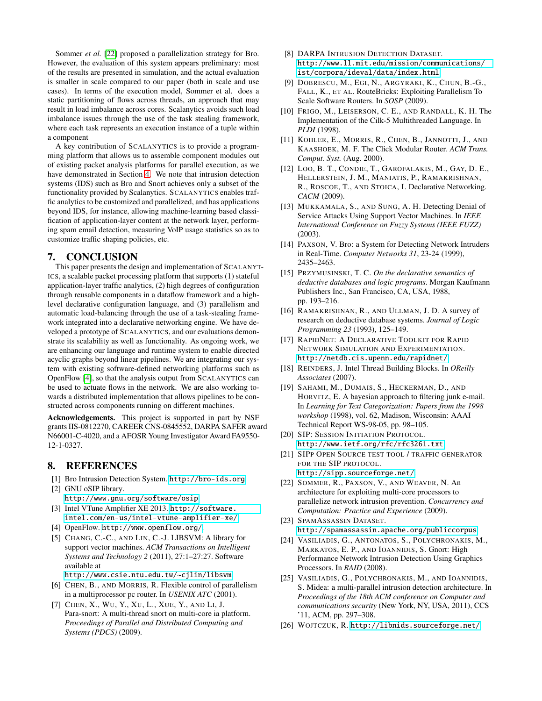Sommer *et al.* [\[22\]](#page-10-24) proposed a parallelization strategy for Bro. However, the evaluation of this system appears preliminary: most of the results are presented in simulation, and the actual evaluation is smaller in scale compared to our paper (both in scale and use cases). In terms of the execution model, Sommer et al. does a static partitioning of flows across threads, an approach that may result in load imbalance across cores. Scalanytics avoids such load imbalance issues through the use of the task stealing framework, where each task represents an execution instance of a tuple within a component

A key contribution of SCALANYTICS is to provide a programming platform that allows us to assemble component modules out of existing packet analysis platforms for parallel execution, as we have demonstrated in Section [4.](#page-6-0) We note that intrusion detection systems (IDS) such as Bro and Snort achieves only a subset of the functionality provided by Scalanytics. SCALANYTICS enables traffic analytics to be customized and parallelized, and has applications beyond IDS, for instance, allowing machine-learning based classification of application-layer content at the network layer, performing spam email detection, measuring VoIP usage statistics so as to customize traffic shaping policies, etc.

## 7. CONCLUSION

This paper presents the design and implementation of SCALANYT-ICS, a scalable packet processing platform that supports (1) stateful application-layer traffic analytics, (2) high degrees of configuration through reusable components in a dataflow framework and a highlevel declarative configuration language, and (3) parallelism and automatic load-balancing through the use of a task-stealing framework integrated into a declarative networking engine. We have developed a prototype of SCALANYTICS, and our evaluations demonstrate its scalability as well as functionality. As ongoing work, we are enhancing our language and runtime system to enable directed acyclic graphs beyond linear pipelines. We are integrating our system with existing software-defined networking platforms such as OpenFlow [\[4\]](#page-10-25), so that the analysis output from SCALANYTICS can be used to actuate flows in the network. We are also working towards a distributed implementation that allows pipelines to be constructed across components running on different machines.

Acknowledgements. This project is supported in part by NSF grants IIS-0812270, CAREER CNS-0845552, DARPA SAFER award N66001-C-4020, and a AFOSR Young Investigator Award FA9550- 12-1-0327.

## 8. REFERENCES

- <span id="page-10-15"></span>[1] Bro Intrusion Detection System. <http://bro-ids.org>.
- <span id="page-10-16"></span>[2] GNU oSIP library. <http://www.gnu.org/software/osip>.
- <span id="page-10-19"></span>[3] Intel VTune Amplifier XE 2013. [http://software.](http://software.intel.com/en-us/intel-vtune-amplifier-xe/) [intel.com/en-us/intel-vtune-amplifier-xe/](http://software.intel.com/en-us/intel-vtune-amplifier-xe/).
- <span id="page-10-25"></span>[4] OpenFlow. <http://www.openflow.org/>.
- <span id="page-10-6"></span>[5] CHANG, C.-C., AND LIN, C.-J. LIBSVM: A library for support vector machines. *ACM Transactions on Intelligent Systems and Technology 2* (2011), 27:1–27:27. Software available at
	- <http://www.csie.ntu.edu.tw/~cjlin/libsvm>.
- <span id="page-10-20"></span>[6] CHEN, B., AND MORRIS, R. Flexible control of parallelism in a multiprocessor pc router. In *USENIX ATC* (2001).
- <span id="page-10-21"></span>[7] CHEN, X., WU, Y., XU, L., XUE, Y., AND LI, J. Para-snort: A multi-thread snort on multi-core ia platform. *Proceedings of Parallel and Distributed Computing and Systems (PDCS)* (2009).
- <span id="page-10-7"></span>[8] DARPA INTRUSION DETECTION DATASET. [http://www.ll.mit.edu/mission/communications/](http://www.ll.mit.edu/mission/communications/ist/corpora/ideval/data/index.html) [ist/corpora/ideval/data/index.html](http://www.ll.mit.edu/mission/communications/ist/corpora/ideval/data/index.html).
- <span id="page-10-0"></span>[9] DOBRESCU, M., EGI, N., ARGYRAKI, K., CHUN, B.-G., FALL, K., ET AL. RouteBricks: Exploiting Parallelism To Scale Software Routers. In *SOSP* (2009).
- <span id="page-10-11"></span>[10] FRIGO, M., LEISERSON, C. E., AND RANDALL, K. H. The Implementation of the Cilk-5 Multithreaded Language. In *PLDI* (1998).
- <span id="page-10-1"></span>[11] KOHLER, E., MORRIS, R., CHEN, B., JANNOTTI, J., AND KAASHOEK, M. F. The Click Modular Router. *ACM Trans. Comput. Syst.* (Aug. 2000).
- <span id="page-10-2"></span>[12] LOO, B. T., CONDIE, T., GAROFALAKIS, M., GAY, D. E., HELLERSTEIN, J. M., MANIATIS, P., RAMAKRISHNAN, R., ROSCOE, T., AND STOICA, I. Declarative Networking. *CACM* (2009).
- <span id="page-10-5"></span>[13] MUKKAMALA, S., AND SUNG, A. H. Detecting Denial of Service Attacks Using Support Vector Machines. In *IEEE International Conference on Fuzzy Systems (IEEE FUZZ)* (2003).
- <span id="page-10-10"></span>[14] PAXSON, V. Bro: a System for Detecting Network Intruders in Real-Time. *Computer Networks 31*, 23-24 (1999), 2435–2463.
- <span id="page-10-13"></span>[15] PRZYMUSINSKI, T. C. *On the declarative semantics of deductive databases and logic programs*. Morgan Kaufmann Publishers Inc., San Francisco, CA, USA, 1988, pp. 193–216.
- <span id="page-10-12"></span>[16] RAMAKRISHNAN, R., AND ULLMAN, J. D. A survey of research on deductive database systems. *Journal of Logic Programming 23* (1993), 125–149.
- <span id="page-10-9"></span>[17] RAPIDNET: A DECLARATIVE TOOLKIT FOR RAPID NETWORK SIMULATION AND EXPERIMENTATION. <http://netdb.cis.upenn.edu/rapidnet/>.
- <span id="page-10-8"></span>[18] REINDERS, J. Intel Thread Building Blocks. In *OReilly Associates* (2007).
- <span id="page-10-3"></span>[19] SAHAMI, M., DUMAIS, S., HECKERMAN, D., AND HORVITZ, E. A bayesian approach to filtering junk e-mail. In *Learning for Text Categorization: Papers from the 1998 workshop* (1998), vol. 62, Madison, Wisconsin: AAAI Technical Report WS-98-05, pp. 98–105.
- <span id="page-10-4"></span>[20] SIP: SESSION INITIATION PROTOCOL. <http://www.ietf.org/rfc/rfc3261.txt>.
- <span id="page-10-18"></span>[21] SIPP OPEN SOURCE TEST TOOL / TRAFFIC GENERATOR FOR THE SIP PROTOCOL. <http://sipp.sourceforge.net/>.
- <span id="page-10-24"></span>[22] SOMMER, R., PAXSON, V., AND WEAVER, N. An architecture for exploiting multi-core processors to parallelize network intrusion prevention. *Concurrency and Computation: Practice and Experience* (2009).
- <span id="page-10-17"></span>[23] SPAMASSASSIN DATASET. <http://spamassassin.apache.org/publiccorpus>.
- <span id="page-10-22"></span>[24] VASILIADIS, G., ANTONATOS, S., POLYCHRONAKIS, M., MARKATOS, E. P., AND IOANNIDIS, S. Gnort: High Performance Network Intrusion Detection Using Graphics Processors. In *RAID* (2008).
- <span id="page-10-23"></span>[25] VASILIADIS, G., POLYCHRONAKIS, M., AND IOANNIDIS, S. Midea: a multi-parallel intrusion detection architecture. In *Proceedings of the 18th ACM conference on Computer and communications security* (New York, NY, USA, 2011), CCS '11, ACM, pp. 297–308.
- <span id="page-10-14"></span>[26] WOJTCZUK, R. <http://libnids.sourceforge.net/>.